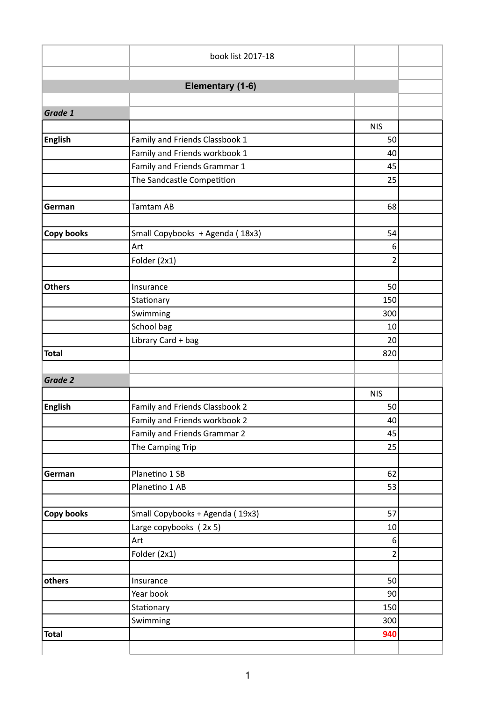|                   | book list 2017-18               |                |  |  |  |
|-------------------|---------------------------------|----------------|--|--|--|
|                   |                                 |                |  |  |  |
| Elementary (1-6)  |                                 |                |  |  |  |
|                   |                                 |                |  |  |  |
| Grade 1           |                                 |                |  |  |  |
|                   |                                 | <b>NIS</b>     |  |  |  |
| English           | Family and Friends Classbook 1  | 50             |  |  |  |
|                   | Family and Friends workbook 1   | 40             |  |  |  |
|                   | Family and Friends Grammar 1    | 45             |  |  |  |
|                   | The Sandcastle Competition      | 25             |  |  |  |
|                   |                                 |                |  |  |  |
| German            | Tamtam AB                       | 68             |  |  |  |
|                   |                                 |                |  |  |  |
| <b>Copy books</b> | Small Copybooks + Agenda (18x3) | 54             |  |  |  |
|                   | Art                             | 6              |  |  |  |
|                   | Folder (2x1)                    | $\overline{2}$ |  |  |  |
|                   |                                 |                |  |  |  |
| <b>Others</b>     | Insurance                       | 50             |  |  |  |
|                   | Stationary                      | 150            |  |  |  |
|                   | Swimming                        | 300            |  |  |  |
|                   | School bag                      | 10             |  |  |  |
|                   | Library Card + bag              | 20             |  |  |  |
| <b>Total</b>      |                                 | 820            |  |  |  |
|                   |                                 |                |  |  |  |
| Grade 2           |                                 |                |  |  |  |
|                   |                                 | <b>NIS</b>     |  |  |  |
| <b>English</b>    | Family and Friends Classbook 2  | 50             |  |  |  |
|                   | Family and Friends workbook 2   | 40             |  |  |  |
|                   | Family and Friends Grammar 2    | 45             |  |  |  |
|                   | The Camping Trip                | 25             |  |  |  |
|                   |                                 |                |  |  |  |
| German            | Planetino 1 SB                  | 62             |  |  |  |
|                   | Planetino 1 AB                  | 53             |  |  |  |
|                   |                                 |                |  |  |  |
| Copy books        | Small Copybooks + Agenda (19x3) | 57             |  |  |  |
|                   | Large copybooks (2x 5)          | 10             |  |  |  |
|                   | Art                             | 6              |  |  |  |
|                   | Folder (2x1)                    | $\overline{2}$ |  |  |  |
|                   |                                 |                |  |  |  |
| others            | Insurance                       | 50             |  |  |  |
|                   | Year book                       | 90             |  |  |  |
|                   | Stationary                      | 150            |  |  |  |
|                   | Swimming                        | 300            |  |  |  |
| <b>Total</b>      |                                 | 940            |  |  |  |
|                   |                                 |                |  |  |  |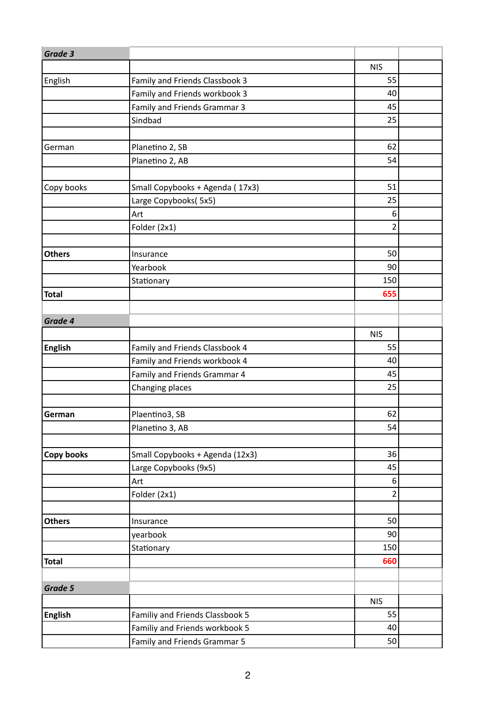| Grade 3           |                                 |            |  |
|-------------------|---------------------------------|------------|--|
|                   |                                 | <b>NIS</b> |  |
| English           | Family and Friends Classbook 3  | 55         |  |
|                   | Family and Friends workbook 3   | 40         |  |
|                   | Family and Friends Grammar 3    | 45         |  |
|                   | Sindbad                         | 25         |  |
|                   |                                 |            |  |
| German            | Planetino 2, SB                 | 62         |  |
|                   | Planetino 2, AB                 | 54         |  |
|                   |                                 |            |  |
| Copy books        | Small Copybooks + Agenda (17x3) | 51         |  |
|                   | Large Copybooks( 5x5)           | 25         |  |
|                   | Art                             | 6          |  |
|                   | Folder (2x1)                    | 2          |  |
|                   |                                 |            |  |
| <b>Others</b>     | Insurance                       | 50         |  |
|                   | Yearbook                        | 90         |  |
|                   | Stationary                      | 150        |  |
| Total             |                                 | 655        |  |
|                   |                                 |            |  |
| Grade 4           |                                 |            |  |
|                   |                                 | <b>NIS</b> |  |
| <b>English</b>    | Family and Friends Classbook 4  | 55         |  |
|                   | Family and Friends workbook 4   | 40         |  |
|                   | Family and Friends Grammar 4    | 45         |  |
|                   | Changing places                 | 25         |  |
|                   |                                 |            |  |
| German            | Plaentino3, SB                  | 62         |  |
|                   | Planetino 3, AB                 | 54         |  |
|                   |                                 |            |  |
| <b>Copy books</b> | Small Copybooks + Agenda (12x3) | 36         |  |
|                   | Large Copybooks (9x5)           | 45         |  |
|                   | Art                             | 6          |  |
|                   | Folder (2x1)                    | 2          |  |
|                   |                                 |            |  |
| <b>Others</b>     | Insurance                       | 50         |  |
|                   | yearbook                        | 90         |  |
|                   | Stationary                      | 150        |  |
| Total             |                                 | 660        |  |
|                   |                                 |            |  |
| Grade 5           |                                 |            |  |
|                   |                                 | <b>NIS</b> |  |
| <b>English</b>    | Familiy and Friends Classbook 5 | 55         |  |
|                   | Familiy and Friends workbook 5  | 40         |  |
|                   | Family and Friends Grammar 5    | 50         |  |